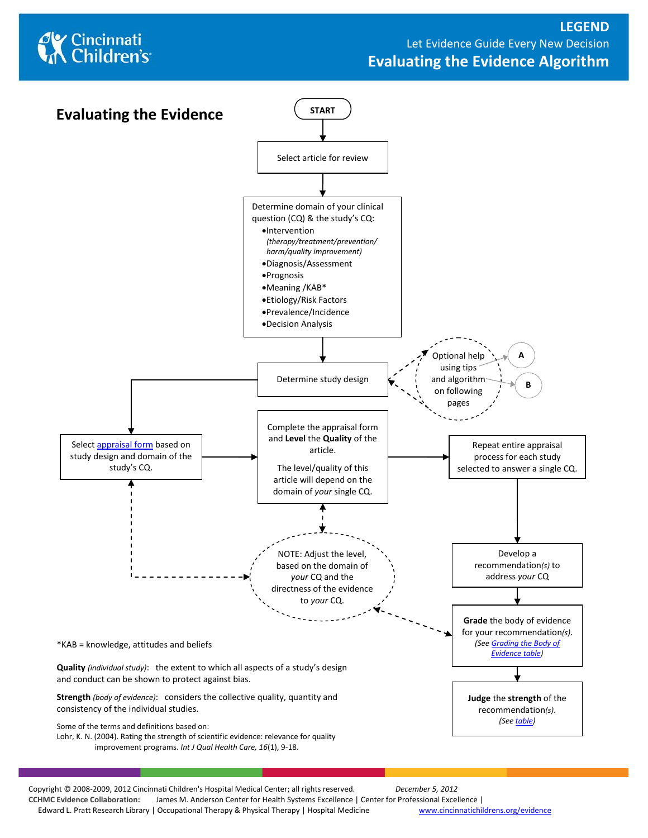



Copyright © 2008-2009, 2012 Cincinnati Children's Hospital Medical Center; all rights reserved. *December 5, 2012* **CCHMC Evidence Collaboration:** James M. Anderson Center for Health Systems Excellence | Center for Professional Excellence | Edward L. Pratt Research Library | Occupational Therapy & Physical Therapy | Hospital Medicine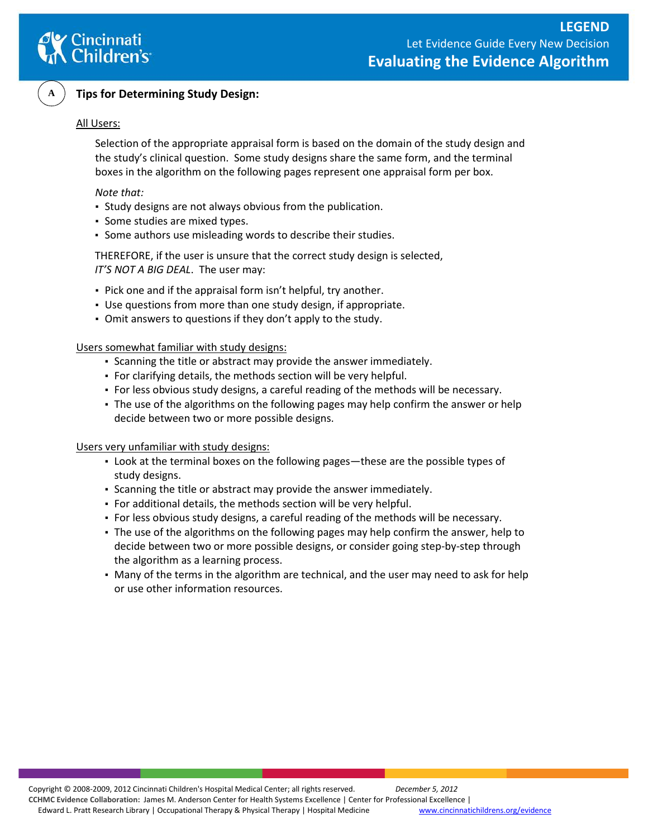



### **Tips for Determining Study Design:**

### All Users:

Selection of the appropriate appraisal form is based on the domain of the study design and the study's clinical question. Some study designs share the same form, and the terminal boxes in the algorithm on the following pages represent one appraisal form per box.

#### *Note that:*

- Study designs are not always obvious from the publication.
- Some studies are mixed types.
- Some authors use misleading words to describe their studies.

THEREFORE, if the user is unsure that the correct study design is selected, *IT'S NOT A BIG DEAL*. The user may:

- Pick one and if the appraisal form isn't helpful, try another.
- Use questions from more than one study design, if appropriate.
- Omit answers to questions if they don't apply to the study.

Users somewhat familiar with study designs:

- Scanning the title or abstract may provide the answer immediately.
- For clarifying details, the methods section will be very helpful.
- For less obvious study designs, a careful reading of the methods will be necessary.
- The use of the algorithms on the following pages may help confirm the answer or help decide between two or more possible designs.

Users very unfamiliar with study designs:

- Look at the terminal boxes on the following pages—these are the possible types of study designs.
- Scanning the title or abstract may provide the answer immediately.
- For additional details, the methods section will be very helpful.
- For less obvious study designs, a careful reading of the methods will be necessary.
- The use of the algorithms on the following pages may help confirm the answer, help to decide between two or more possible designs, or consider going step-by-step through the algorithm as a learning process.
- Many of the terms in the algorithm are technical, and the user may need to ask for help or use other information resources.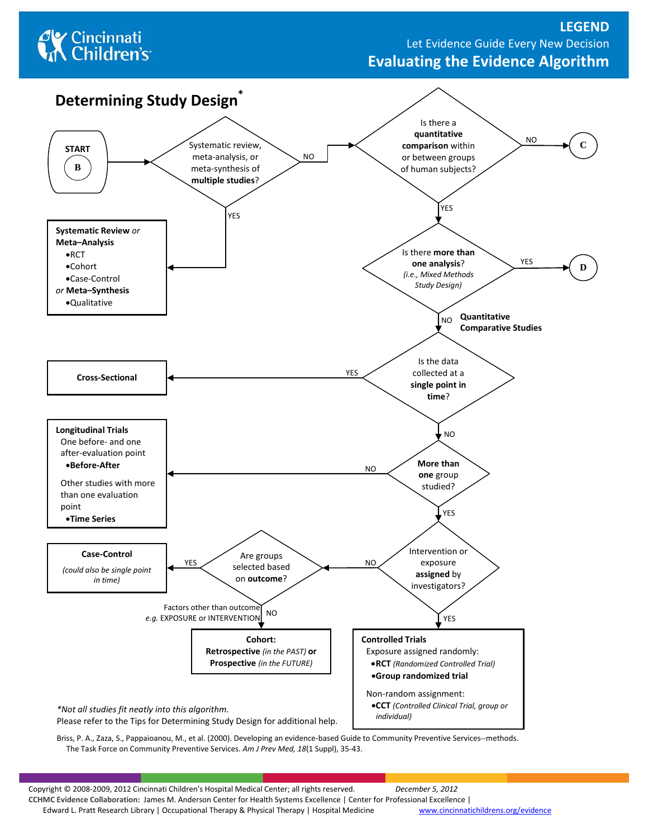# **C** Cincinnati<br> **Children's**

## **LEGEND**  Let Evidence Guide Every New Decision **Evaluating the Evidence Algorithm**



Briss, P. A., Zaza, S., Pappaioanou, M., et al. (2000). Developing an evidence-based Guide to Community Preventive Services--methods. The Task Force on Community Preventive Services. *Am J Prev Med, 18*(1 Suppl), 35-43.